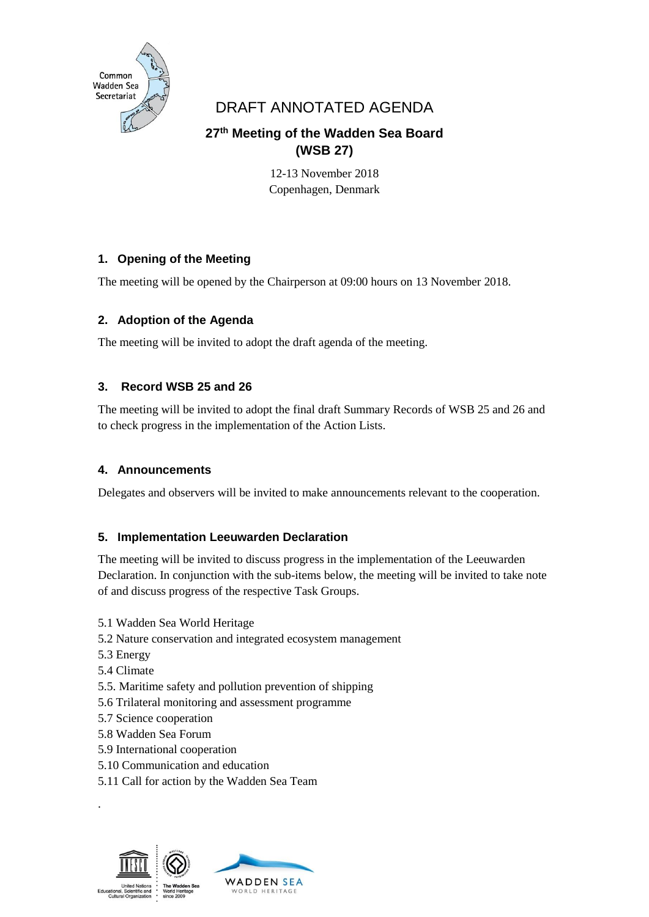

# DRAFT ANNOTATED AGENDA

## **27 th Meeting of the Wadden Sea Board (WSB 27)**

12-13 November 2018 Copenhagen, Denmark

## **1. Opening of the Meeting**

The meeting will be opened by the Chairperson at 09:00 hours on 13 November 2018.

## **2. Adoption of the Agenda**

The meeting will be invited to adopt the draft agenda of the meeting.

## **3. Record WSB 25 and 26**

The meeting will be invited to adopt the final draft Summary Records of WSB 25 and 26 and to check progress in the implementation of the Action Lists.

## **4. Announcements**

Delegates and observers will be invited to make announcements relevant to the cooperation.

## **5. Implementation Leeuwarden Declaration**

The meeting will be invited to discuss progress in the implementation of the Leeuwarden Declaration. In conjunction with the sub-items below, the meeting will be invited to take note of and discuss progress of the respective Task Groups.

- 5.1 Wadden Sea World Heritage
- 5.2 Nature conservation and integrated ecosystem management
- 5.3 Energy
- 5.4 Climate

.

- 5.5. Maritime safety and pollution prevention of shipping
- 5.6 Trilateral monitoring and assessment programme
- 5.7 Science cooperation
- 5.8 Wadden Sea Forum
- 5.9 International cooperation
- 5.10 Communication and education
- 5.11 Call for action by the Wadden Sea Team